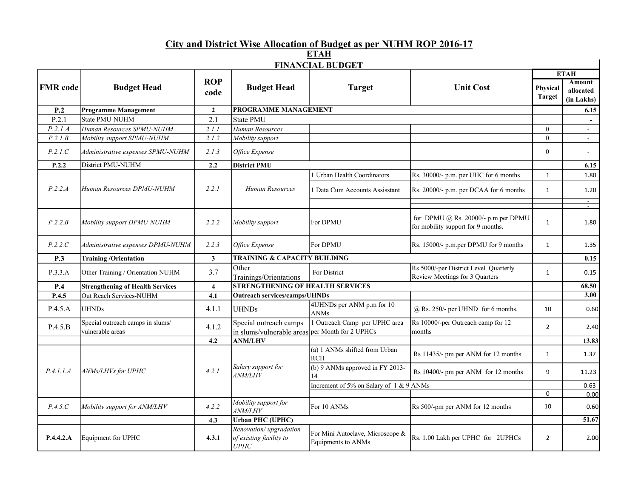## City and District Wise Allocation of Budget as per NUHM ROP 2016-17

ETAH

| <b>FINANCIAL BUDGET</b> |                                                      |                         |                                                           |                                                        |                                                                           |                           |                                          |  |  |
|-------------------------|------------------------------------------------------|-------------------------|-----------------------------------------------------------|--------------------------------------------------------|---------------------------------------------------------------------------|---------------------------|------------------------------------------|--|--|
| <b>FMR</b> code         | <b>Budget Head</b>                                   | <b>ROP</b><br>code      | <b>Budget Head</b>                                        | <b>Target</b>                                          | <b>Unit Cost</b>                                                          | <b>ETAH</b>               |                                          |  |  |
|                         |                                                      |                         |                                                           |                                                        |                                                                           | Physical<br><b>Target</b> | <b>Amount</b><br>allocated<br>(in Lakhs) |  |  |
| P.2                     | <b>Programme Management</b>                          | $\overline{2}$          | PROGRAMME MANAGEMENT                                      |                                                        |                                                                           |                           | 6.15                                     |  |  |
| P.2.1                   | State PMU-NUHM                                       | 2.1                     | <b>State PMU</b>                                          |                                                        |                                                                           |                           |                                          |  |  |
| P.2.I.A                 | Human Resources SPMU-NUHM                            | 2.1.1                   | Human Resources                                           |                                                        |                                                                           | $\overline{0}$            | $\sim$                                   |  |  |
| P.2.1.B                 | Mobility support SPMU-NUHM                           | 2.1.2                   | Mobility support                                          |                                                        |                                                                           | $\Omega$                  |                                          |  |  |
| P.2.1.C                 | Administrative expenses SPMU-NUHM                    | 2.1.3                   | Office Expense                                            |                                                        |                                                                           | $\mathbf{0}$              | $\overline{\phantom{a}}$                 |  |  |
| P.2.2                   | District PMU-NUHM                                    | 2.2                     | <b>District PMU</b>                                       |                                                        |                                                                           |                           | 6.15                                     |  |  |
|                         |                                                      |                         |                                                           | 1 Urban Health Coordinators                            | Rs. 30000/- p.m. per UHC for 6 months                                     | 1                         | 1.80                                     |  |  |
| P.2.2.A                 | Human Resources DPMU-NUHM                            | 2.2.1                   | Human Resources                                           | 1 Data Cum Accounts Assisstant                         | Rs. 20000/- p.m. per DCAA for 6 months                                    | $\mathbf{1}$              | 1.20                                     |  |  |
|                         |                                                      |                         |                                                           |                                                        |                                                                           |                           | $\overline{\phantom{a}}$<br>τ            |  |  |
| P.2.2.B                 | Mobility support DPMU-NUHM                           | 2.2.2                   | Mobility support                                          | For DPMU                                               | for DPMU @ Rs. 20000/- p.m per DPMU<br>for mobility support for 9 months. | $\mathbf{1}$              | 1.80                                     |  |  |
| P.2.2.C                 | Administrative expenses DPMU-NUHM                    | 2.2.3                   | Office Expense                                            | For DPMU                                               | Rs. 15000/- p.m.per DPMU for 9 months                                     | $\mathbf{1}$              | 1.35                                     |  |  |
| P.3                     | <b>Training /Orientation</b>                         | $\mathbf{3}$            |                                                           | <b>TRAINING &amp; CAPACITY BUILDING</b>                |                                                                           |                           | 0.15                                     |  |  |
| P.3.3.A                 | Other Training / Orientation NUHM                    | 3.7                     | Other<br>Trainings/Orientations                           | For District                                           | Rs 5000/-per District Level Quarterly<br>Review Meetings for 3 Quarters   | 1                         | 0.15                                     |  |  |
| P.4                     | <b>Strengthening of Health Services</b>              | $\overline{\mathbf{4}}$ | <b>STRENGTHENING OF HEALTH SERVICES</b>                   |                                                        |                                                                           |                           | 68.50                                    |  |  |
| P.4.5                   | Out Reach Services-NUHM                              | 4.1                     | <b>Outreach services/camps/UHNDs</b>                      |                                                        |                                                                           |                           | 3.00                                     |  |  |
| P.4.5.A                 | UHNDs                                                | 4.1.1                   | <b>UHNDs</b>                                              | 4UHNDs per ANM p.m for 10<br><b>ANMs</b>               | $@$ Rs. 250/- per UHND for 6 months.                                      | 10                        | 0.60                                     |  |  |
| P.4.5.B                 | Special outreach camps in slums/<br>vulnerable areas | 4.1.2                   | Special outreach camps<br>in slums/vulnerable areas       | 1 Outreach Camp per UPHC area<br>per Month for 2 UPHCs | Rs 10000/-per Outreach camp for 12<br>months                              | $\overline{2}$            | 2.40                                     |  |  |
|                         |                                                      | 4.2                     | <b>ANM/LHV</b>                                            |                                                        |                                                                           |                           | 13.83                                    |  |  |
| P.4.1.1.A               | ANMs/LHVs for UPHC                                   | 4.2.1                   | Salary support for<br><i>ANM/LHV</i>                      | (a) 1 ANMs shifted from Urban<br><b>RCH</b>            | Rs 11435/- pm per ANM for 12 months                                       | $\mathbf{1}$              | 1.37                                     |  |  |
|                         |                                                      |                         |                                                           | (b) 9 ANMs approved in FY 2013-<br>14                  | Rs 10400/- pm per ANM for 12 months                                       | 9                         | 11.23                                    |  |  |
|                         |                                                      |                         |                                                           | Increment of 5% on Salary of 1 & 9 ANMs                |                                                                           |                           | 0.63                                     |  |  |
|                         |                                                      |                         |                                                           |                                                        |                                                                           | 0                         | 0.00                                     |  |  |
| P.4.5.C                 | Mobility support for ANM/LHV                         | 4.2.2                   | Mobility support for<br><i>ANM/LHV</i>                    | For 10 ANMs                                            | Rs 500/-pm per ANM for 12 months                                          | 10                        | 0.60                                     |  |  |
|                         |                                                      | 4.3                     | <b>Urban PHC (UPHC)</b>                                   |                                                        |                                                                           |                           | 51.67                                    |  |  |
| P.4.4.2.A               | Equipment for UPHC                                   | 4.3.1                   | Renovation/upgradation<br>of existing facility to<br>UPHC | For Mini Autoclave, Microscope &<br>Equipments to ANMs | Rs. 1.00 Lakh per UPHC for 2UPHCs                                         | $\overline{2}$            | 2.00                                     |  |  |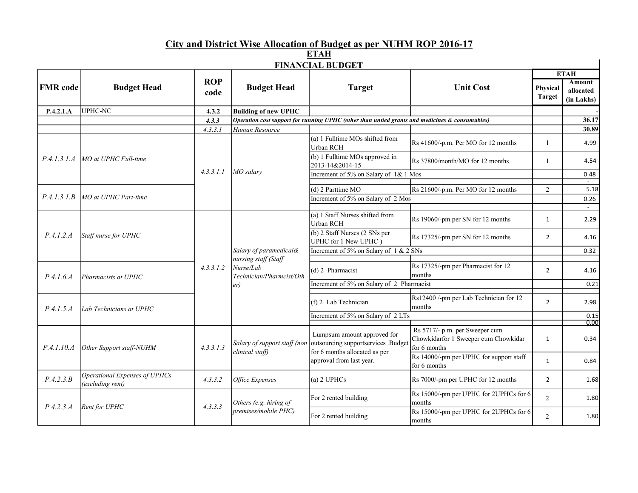## City and District Wise Allocation of Budget as per NUHM ROP 2016-17

| <b>FINANCIAL BUDGET</b> |                                                   |                    |                                                                                                |                                                                                                                                 |                                                                                        |                           |                                          |  |  |
|-------------------------|---------------------------------------------------|--------------------|------------------------------------------------------------------------------------------------|---------------------------------------------------------------------------------------------------------------------------------|----------------------------------------------------------------------------------------|---------------------------|------------------------------------------|--|--|
|                         | <b>Budget Head</b>                                |                    | <b>Budget Head</b>                                                                             | <b>Target</b>                                                                                                                   | <b>Unit Cost</b>                                                                       | <b>ETAH</b>               |                                          |  |  |
| <b>FMR</b> code         |                                                   | <b>ROP</b><br>code |                                                                                                |                                                                                                                                 |                                                                                        | Physical<br><b>Target</b> | <b>Amount</b><br>allocated<br>(in Lakhs) |  |  |
| P.4.2.1.A               | UPHC-NC                                           | 4.3.2              | <b>Building of new UPHC</b>                                                                    |                                                                                                                                 |                                                                                        |                           |                                          |  |  |
|                         |                                                   | 4.3.3              |                                                                                                | Operation cost support for running UPHC (other than untied grants and medicines & consumables)                                  |                                                                                        |                           | 36.17                                    |  |  |
|                         |                                                   | 4.3.3.1            | Human Resource                                                                                 |                                                                                                                                 |                                                                                        |                           | 30.89                                    |  |  |
| P.4.1.3.1.4             | MO at UPHC Full-time                              |                    | MO salarv                                                                                      | (a) 1 Fulltime MOs shifted from<br>Urban RCH                                                                                    | Rs 41600/-p.m. Per MO for 12 months                                                    | $\mathbf{1}$              | 4.99                                     |  |  |
|                         |                                                   |                    |                                                                                                | (b) 1 Fulltime MOs approved in<br>2013-14&2014-15                                                                               | Rs 37800/month/MO for 12 months                                                        | $\overline{1}$            | 4.54                                     |  |  |
|                         |                                                   | 4, 3, 3, 1, 1      |                                                                                                | Increment of 5% on Salary of 1& 1 Mos                                                                                           |                                                                                        |                           | 0.48                                     |  |  |
|                         |                                                   |                    |                                                                                                | (d) 2 Parttime MO                                                                                                               | Rs 21600/-p.m. Per MO for 12 months                                                    | 2                         | 5.18                                     |  |  |
|                         | $P.4.1.3.1.B$ MO at UPHC Part-time                |                    |                                                                                                | Increment of 5% on Salary of 2 Mos                                                                                              |                                                                                        |                           | 0.26                                     |  |  |
|                         |                                                   |                    |                                                                                                |                                                                                                                                 |                                                                                        |                           |                                          |  |  |
|                         | Staff nurse for UPHC                              |                    | Salary of paramedical&<br>nursing staff (Staff<br>Nurse/Lab<br>Technician/Pharmcist/Oth<br>er) | (a) 1 Staff Nurses shifted from<br>Urban RCH                                                                                    | Rs 19060/-pm per SN for 12 months                                                      | $\mathbf{1}$              | 2.29                                     |  |  |
| P.4.1.2.A               |                                                   |                    |                                                                                                | (b) 2 Staff Nurses (2 SNs per<br>UPHC for 1 New UPHC)                                                                           | Rs 17325/-pm per SN for 12 months                                                      | $\overline{2}$            | 4.16                                     |  |  |
|                         |                                                   |                    |                                                                                                | Increment of 5% on Salary of 1 & 2 SNs                                                                                          |                                                                                        |                           | 0.32                                     |  |  |
|                         | Pharmacists at UPHC                               |                    |                                                                                                |                                                                                                                                 |                                                                                        |                           |                                          |  |  |
| P.4.1.6.4               |                                                   | 4, 3, 3, 1, 2      |                                                                                                | (d) 2 Pharmacist                                                                                                                | Rs 17325/-pm per Pharmacist for 12<br>months                                           | $\overline{2}$            | 4.16                                     |  |  |
|                         |                                                   |                    |                                                                                                | Increment of 5% on Salary of 2 Pharmacist                                                                                       |                                                                                        |                           | 0.21                                     |  |  |
| P.4.1.5.A               | Lab Technicians at UPHC                           |                    |                                                                                                | (f) 2 Lab Technician                                                                                                            | Rs12400 /-pm per Lab Technician for 12<br>months                                       | $\overline{2}$            | 2.98                                     |  |  |
|                         |                                                   |                    |                                                                                                | Increment of 5% on Salary of 2 LTs                                                                                              |                                                                                        |                           | 0.15                                     |  |  |
|                         |                                                   |                    |                                                                                                |                                                                                                                                 |                                                                                        |                           | 0.00                                     |  |  |
| P.4.1.10.A              | Other Support staff-NUHM                          | 4.3.3.1.3          | Salary of support staff (non<br>clinical staff)                                                | Lumpsum amount approved for<br>outsourcing supportservices .Budget<br>for 6 months allocated as per<br>approval from last year. | Rs 5717/- p.m. per Sweeper cum<br>Chowkidarfor 1 Sweeper cum Chowkidar<br>for 6 months | 1                         | 0.34                                     |  |  |
|                         |                                                   |                    |                                                                                                |                                                                                                                                 | Rs 14000/-pm per UPHC for support staff<br>for 6 months                                | $\mathbf{1}$              | 0.84                                     |  |  |
| P.4.2.3.B               | Operational Expenses of UPHCs<br>(excluding rent) | 4.3.3.2            | Office Expenses                                                                                | $(a)$ 2 UPHCs                                                                                                                   | Rs 7000/-pm per UPHC for 12 months                                                     | $\overline{2}$            | 1.68                                     |  |  |
| P.4.2.3.A               | Rent for UPHC                                     |                    | Others (e.g. hiring of<br>premises/mobile PHC)                                                 | For 2 rented building                                                                                                           | Rs 15000/-pm per UPHC for 2UPHCs for 6<br>months                                       | $\overline{2}$            | 1.80                                     |  |  |
|                         |                                                   | 4.3.3.3            |                                                                                                | For 2 rented building                                                                                                           | Rs 15000/-pm per UPHC for 2UPHCs for 6<br>months                                       | 2                         | 1.80                                     |  |  |